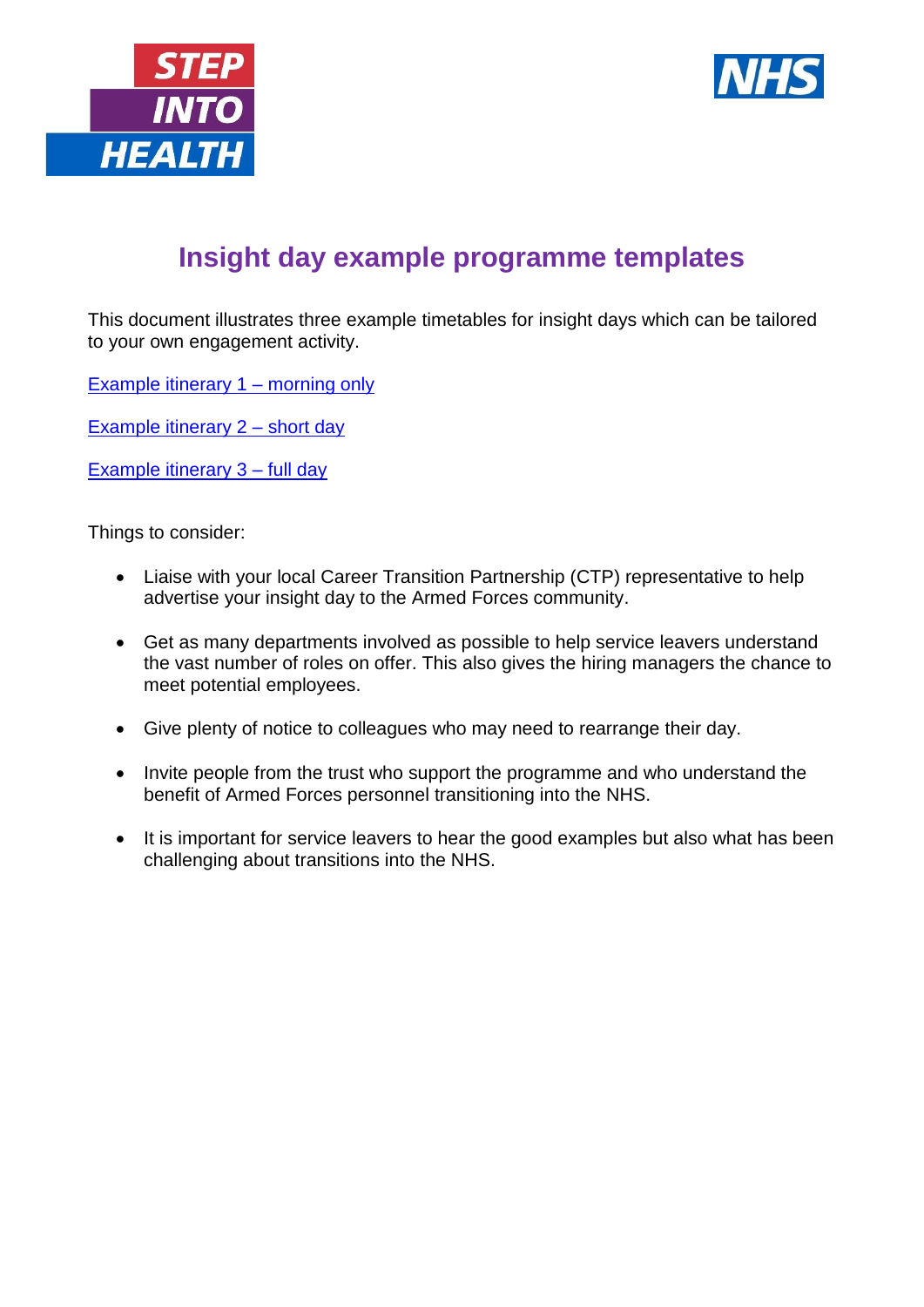



## **Insight day example programme templates**

This document illustrates three example timetables for insight days which can be tailored to your own engagement activity.

[Example itinerary 1 –](#page-1-0) morning only

[Example itinerary 2 –](#page-2-0) short day

[Example itinerary 3 –](#page-3-0) full day

Things to consider:

- Liaise with your local Career Transition Partnership (CTP) representative to help advertise your insight day to the Armed Forces community.
- Get as many departments involved as possible to help service leavers understand the vast number of roles on offer. This also gives the hiring managers the chance to meet potential employees.
- Give plenty of notice to colleagues who may need to rearrange their day.
- Invite people from the trust who support the programme and who understand the benefit of Armed Forces personnel transitioning into the NHS.
- It is important for service leavers to hear the good examples but also what has been challenging about transitions into the NHS.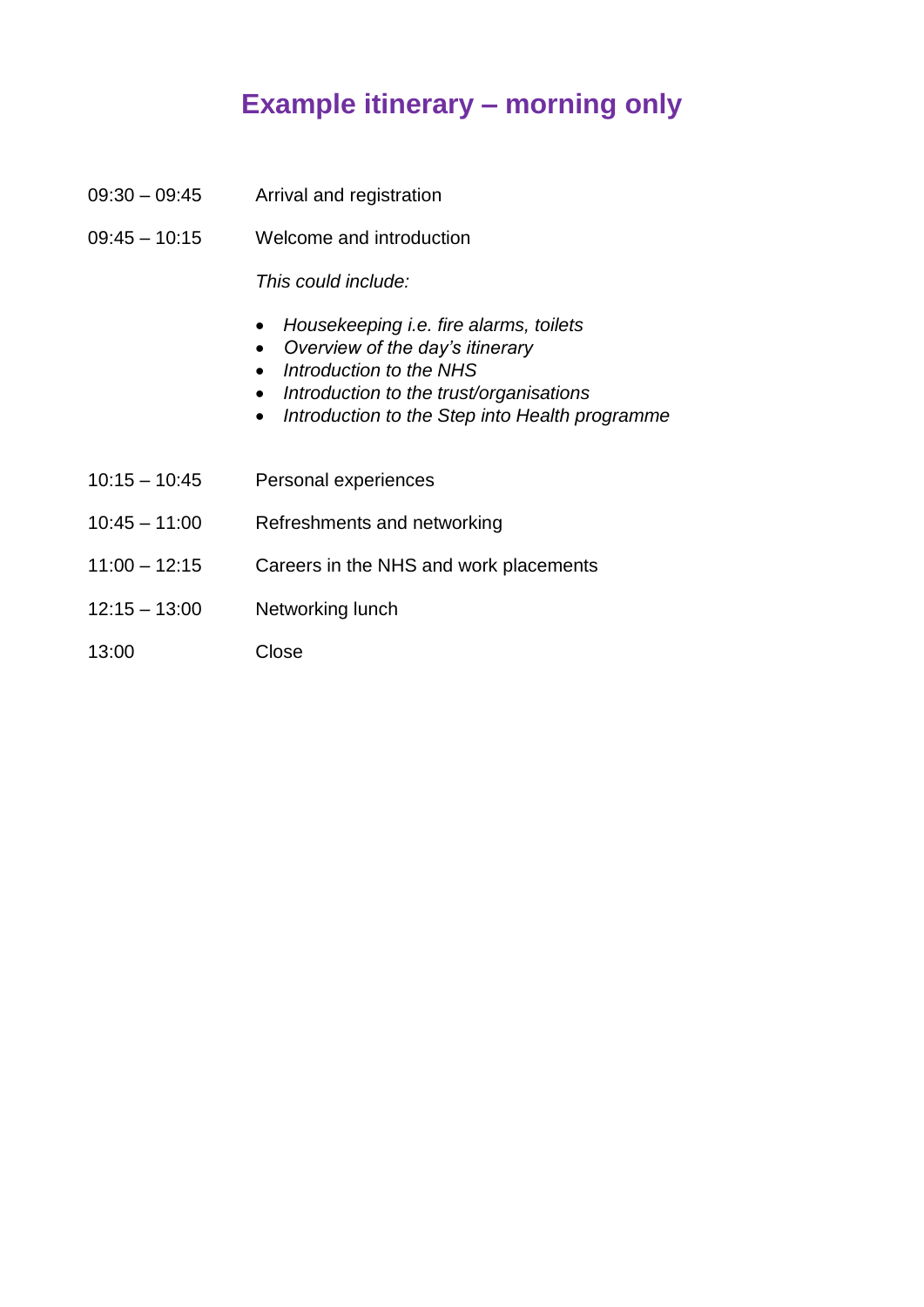## **Example itinerary – morning only**

- <span id="page-1-0"></span>09:30 – 09:45 Arrival and registration
- 09:45 10:15 Welcome and introduction

*This could include:*

- *Housekeeping i.e. fire alarms, toilets*
- *Overview of the day's itinerary*
- *Introduction to the NHS*
- *Introduction to the trust/organisations*
- *Introduction to the Step into Health programme*
- 10:15 10:45 Personal experiences
- 10:45 11:00 Refreshments and networking
- 11:00 12:15 Careers in the NHS and work placements
- 12:15 13:00 Networking lunch
- 13:00 Close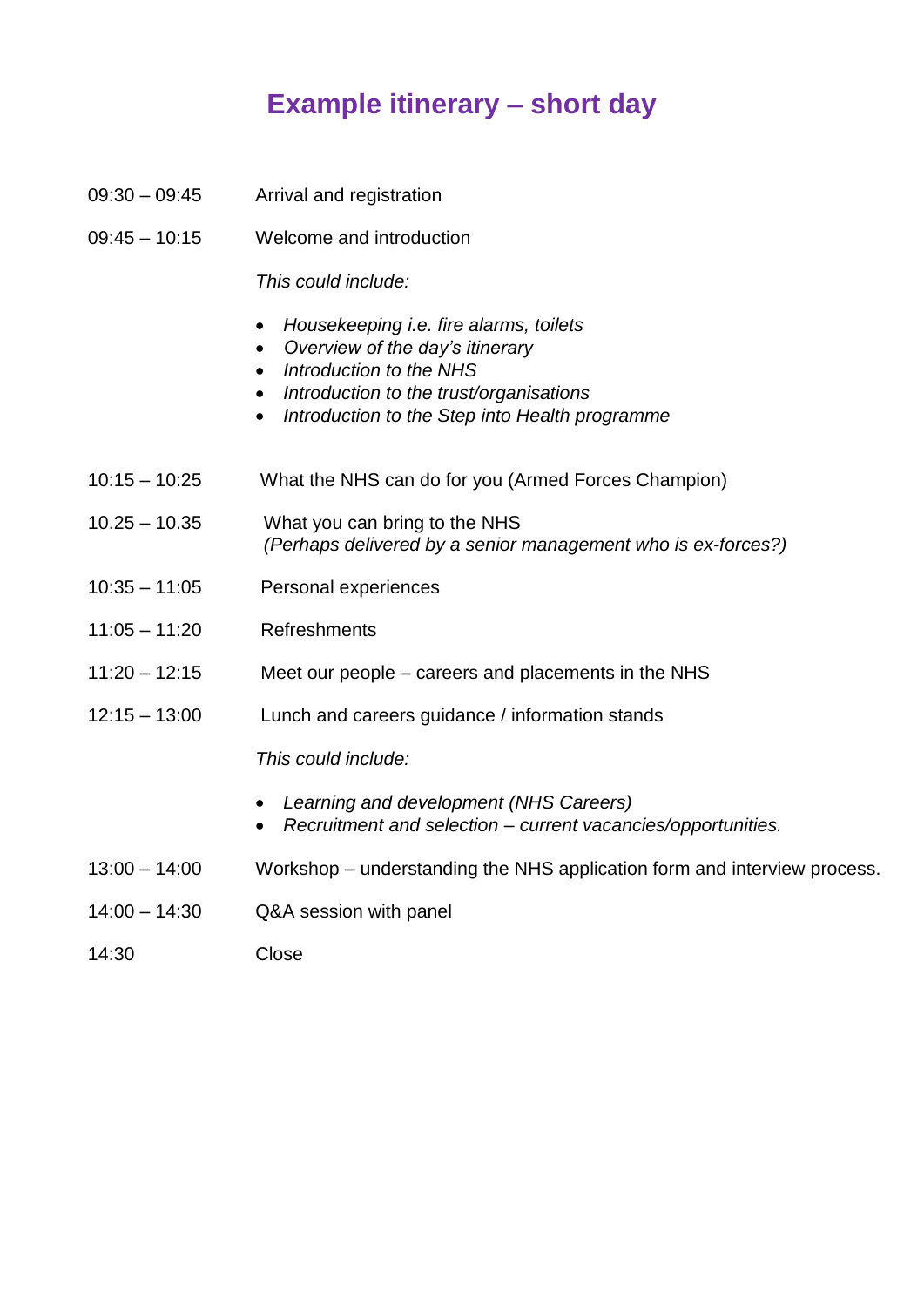## **Example itinerary – short day**

- <span id="page-2-0"></span>09:30 – 09:45 Arrival and registration
- 09:45 10:15 Welcome and introduction

*This could include:*

- *Housekeeping i.e. fire alarms, toilets*
- *Overview of the day's itinerary*
- *Introduction to the NHS*
- *Introduction to the trust/organisations*
- *Introduction to the Step into Health programme*
- 10:15 10:25 What the NHS can do for you (Armed Forces Champion)
- 10.25 10.35 What you can bring to the NHS *(Perhaps delivered by a senior management who is ex-forces?)*
- 10:35 11:05 Personal experiences
- 11:05 11:20 Refreshments
- 11:20 12:15 Meet our people careers and placements in the NHS
- 12:15 13:00 Lunch and careers guidance / information stands

*This could include:*

- *Learning and development (NHS Careers)*
- *Recruitment and selection – current vacancies/opportunities.*
- 13:00 14:00 Workshop understanding the NHS application form and interview process.
- 14:00 14:30 Q&A session with panel
- 14:30 Close